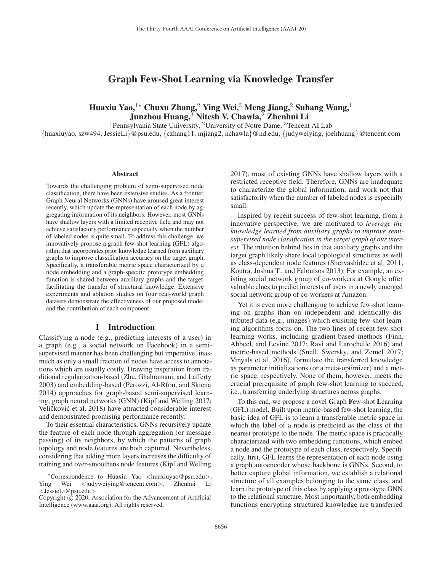## Graph Few-Shot Learning via Knowledge Transfer

# Huaxiu Yao,<sup>1</sup>\* Chuxu Zhang,<sup>2</sup> Ying Wei,<sup>3</sup> Meng Jiang,<sup>2</sup> Suhang Wang,<sup>1</sup> Junzhou Huang, $3$  Nitesh V. Chawla, $2$  Zhenhui Li<sup>1</sup>

<sup>1</sup>Pennsylvania State University, <sup>2</sup>University of Notre Dame, <sup>3</sup>Tencent AI Lab

{huaxiuyao, szw494, JessieLi}@psu.edu, {czhang11, mjiang2, nchawla}@nd.edu, {judyweiying, joehhuang}@tencent.com

#### Abstract

Towards the challenging problem of semi-supervised node classification, there have been extensive studies. As a frontier, Graph Neural Networks (GNNs) have aroused great interest recently, which update the representation of each node by aggregating information of its neighbors. However, most GNNs have shallow layers with a limited receptive field and may not achieve satisfactory performance especially when the number of labeled nodes is quite small. To address this challenge, we innovatively propose a graph few-shot learning (GFL) algorithm that incorporates prior knowledge learned from auxiliary graphs to improve classification accuracy on the target graph. Specifically, a transferable metric space characterized by a node embedding and a graph-specific prototype embedding function is shared between auxiliary graphs and the target, facilitating the transfer of structural knowledge. Extensive experiments and ablation studies on four real-world graph datasets demonstrate the effectiveness of our proposed model and the contribution of each component.

### 1 Introduction

Classifying a node (e.g., predicting interests of a user) in a graph (e.g., a social network on Facebook) in a semisupervised manner has been challenging but imperative, inasmuch as only a small fraction of nodes have access to annotations which are usually costly. Drawing inspiration from traditional regularization-based (Zhu, Ghahramani, and Lafferty 2003) and embedding-based (Perozzi, Al-Rfou, and Skiena 2014) approaches for graph-based semi-supervised learning, graph neural networks (GNN) (Kipf and Welling 2017; Veličković et al. 2018) have attracted considerable interest and demonstrated promising performance recently.

To their essential characteristics, GNNs recursively update the feature of each node through aggregation (or message passing) of its neighbors, by which the patterns of graph topology and node features are both captured. Nevertheless, considering that adding more layers increases the difficulty of training and over-smoothens node features (Kipf and Welling 2017), most of existing GNNs have shallow layers with a restricted receptive field. Therefore, GNNs are inadequate to characterize the global information, and work not that satisfactorily when the number of labeled nodes is especially small.

Inspired by recent success of few-shot learning, from a innovative perspective, we are motivated to *leverage the knowledge learned from auxiliary graphs to improve semisupervised node classification in the target graph of our interest.* The intuition behind lies in that auxiliary graphs and the target graph likely share local topological structures as well as class-dependent node features (Shervashidze et al. 2011; Koutra, Joshua T., and Faloutsos 2013). For example, an existing social network group of co-workers at Google offer valuable clues to predict interests of users in a newly emerged social network group of co-workers at Amazon.

Yet it is even more challenging to achieve few-shot learning on graphs than on independent and identically distributed data (e.g., images) which exisiting few shot learning algorithms focus on. The two lines of recent few-shot learning works, including gradient-based methods (Finn, Abbeel, and Levine 2017; Ravi and Larochelle 2016) and metric-based methods (Snell, Swersky, and Zemel 2017; Vinyals et al. 2016), formulate the transferred knowledge as parameter initializations (or a meta-optimizer) and a metric space, respectively. None of them, however, meets the crucial prerequisite of graph few-shot learning to succeed, i.e., transferring underlying structures across graphs.

To this end, we propose a novel Graph Few-shot Learning (GFL) model. Built upon metric-based few-shot learning, the basic idea of GFL is to learn a transferable metric space in which the label of a node is predicted as the class of the nearest prototype to the node. The metric space is practically characterized with two embedding functions, which embed a node and the prototype of each class, respectively. Specifically, first, GFL learns the representation of each node using a graph autoencoder whose backbone is GNNs. Second, to better capture global information, we establish a relational structure of all examples belonging to the same class, and learn the prototype of this class by applying a prototype GNN to the relational structure. Most importantly, both embedding functions encrypting structured knowledge are transferred

<sup>∗</sup>Correspondence to Huaxiu Yao <huaxiuyao@psu.edu>, Ying Wei <judyweiying@tencent.com>, Zhenhui <JessieLi@psu.edu>

Copyright  $\odot$  2020, Association for the Advancement of Artificial Intelligence (www.aaai.org). All rights reserved.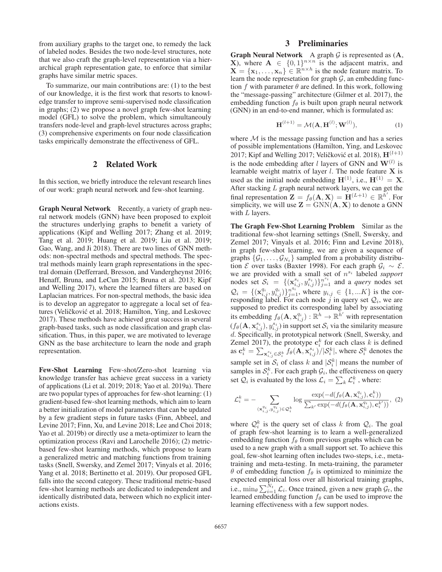from auxiliary graphs to the target one, to remedy the lack of labeled nodes. Besides the two node-level structures, note that we also craft the graph-level representation via a hierarchical graph representation gate, to enforce that similar graphs have similar metric spaces.

To summarize, our main contributions are: (1) to the best of our knowledge, it is the first work that resorts to knowledge transfer to improve semi-supervised node classification in graphs; (2) we propose a novel graph few-shot learning model (GFL) to solve the problem, which simultaneouly transfers node-level and graph-level structures across graphs; (3) comprehensive experiments on four node classification tasks empirically demonstrate the effectiveness of GFL.

## 2 Related Work

In this section, we briefly introduce the relevant research lines of our work: graph neural network and few-shot learning.

Graph Neural Network Recently, a variety of graph neural network models (GNN) have been proposed to exploit the structures underlying graphs to benefit a variety of applications (Kipf and Welling 2017; Zhang et al. 2019; Tang et al. 2019; Huang et al. 2019; Liu et al. 2019; Gao, Wang, and Ji 2018). There are two lines of GNN methods: non-spectral methods and spectral methods. The spectral methods mainly learn graph representations in the spectral domain (Defferrard, Bresson, and Vandergheynst 2016; Henaff, Bruna, and LeCun 2015; Bruna et al. 2013; Kipf and Welling 2017), where the learned filters are based on Laplacian matrices. For non-spectral methods, the basic idea is to develop an aggregator to aggregate a local set of features (Veličković et al. 2018; Hamilton, Ying, and Leskovec 2017). These methods have achieved great success in several graph-based tasks, such as node classification and graph classification. Thus, in this paper, we are motivated to leverage GNN as the base architecture to learn the node and graph representation.

Few-Shot Learning Few-shot/Zero-shot learning via knowledge transfer has achieve great success in a variety of applications (Li et al. 2019; 2018; Yao et al. 2019a). There are two popular types of approaches for few-shot learning: (1) gradient-based few-shot learning methods, which aim to learn a better initialization of model parameters that can be updated by a few gradient steps in future tasks (Finn, Abbeel, and Levine 2017; Finn, Xu, and Levine 2018; Lee and Choi 2018; Yao et al. 2019b) or directly use a meta-optimizer to learn the optimization process (Ravi and Larochelle 2016); (2) metricbased few-shot learning methods, which propose to learn a generalized metric and matching functions from training tasks (Snell, Swersky, and Zemel 2017; Vinyals et al. 2016; Yang et al. 2018; Bertinetto et al. 2019). Our proposed GFL falls into the second category. These traditional metric-based few-shot learning methods are dedicated to independent and identically distributed data, between which no explicit interactions exists.

## 3 Preliminaries

**Graph Neural Network** A graph G is represented as  $(A, X)$  where  $A \in \{0, 1\}^{n \times n}$  is the adiacent matrix and **X**), where  $\mathbf{A} \in \{0,1\}^{n \times n}$  is the adjacent matrix, and  $\mathbf{X} = \{x_1, \dots, x_n\} \in \mathbb{R}^{n \times h}$  is the node feature matrix. To  $\mathbf{X} = {\mathbf{x}_1, \dots, \mathbf{x}_n} \in \mathbb{R}^{n \times h}$  is the node feature matrix. To learn the node representation for graph G an embedding funclearn the node represetation for graph  $G$ , an embedding function f with parameter  $\theta$  are defined. In this work, following the "message-passing" architecture (Gilmer et al. 2017), the embedding function  $f_{\theta}$  is built upon graph neural network (GNN) in an end-to-end manner, which is formulated as:

$$
\mathbf{H}^{(l+1)} = \mathcal{M}(\mathbf{A}, \mathbf{H}^{(l)}; \mathbf{W}^{(l)}),
$$
 (1)

where  $M$  is the message passing function and has a series of possible implementations (Hamilton, Ying, and Leskovec 2017; Kipf and Welling 2017; Veličković et al. 2018),  $H^{(l+1)}$ is the node embedding after *l* layers of GNN and  $W^{(l)}$  is learnable weight matrix of layer <sup>l</sup>. The node feature **X** is used as the initial node embedding  $H^{(1)}$ , i.e.,  $H^{(1)} = X$ . After stacking  $L$  graph neural network layers, we can get the final representation  $\mathbf{Z} = f_{\theta}(\mathbf{A}, \mathbf{X}) = \mathbf{H}^{(L+1)} \in \mathbb{R}^{h'}$ . For simplicity we will use  $\mathbf{Z} = \text{GNN}(\mathbf{A} \mid \mathbf{X})$  to denote a GNN simplicity, we will use  $\mathbf{Z} = \text{GNN}(\mathbf{A}, \mathbf{X})$  to denote a GNN with  $L$  layers.

The Graph Few-Shot Learning Problem Similar as the traditional few-shot learning settings (Snell, Swersky, and Zemel 2017; Vinyals et al. 2016; Finn and Levine 2018), in graph few-shot learning, we are given a sequence of graphs  $\{\mathcal{G}_1,\ldots,\mathcal{G}_{N_t}\}\$  sampled from a probability distribution  $\mathcal E$  over tasks (Baxter 1998). For each graph  $\mathcal G_i \sim \mathcal E$ . we are provided with a small set of  $n^{s_i}$  labeled *support* nodes set  $S_i = \{(\mathbf{x}_{i,j}^{s_i}, y_{i,j}^{s_i})\}_{j=1}^{n^{s_i}}$  and a *query* nodes set  $\Omega_i$  (*s*, *y*<sub>i</sub>, *y*<sub>i</sub>, *y*<sub>i</sub>, *y*<sub>i</sub>, *y*<sub>i</sub>, *y*<sub>i</sub>, *y*<sub>i</sub>, *y*<sub>i</sub>, *y*<sub>i</sub>, *y*<sub>i</sub>, *y*<sub>i</sub>, *y*<sub>i</sub>, *y*<sub>i</sub>, *y*<sub>i</sub>, *y*<sub>i</sub>, *y*<sub>i</sub>, *y*<sub>i</sub>  $\mathcal{Q}_i = \{(\mathbf{x}_{i,j}^{q_i}, y_{i,j}^{q_i})\}_{j=1}^{n^{q_i}}$ , where  $y_{i,j} \in \{1, ...K\}$  is the corresponding label For each node *i* in query set  $\mathcal{Q}_i$  we are responding label. For each node  $\hat{j}$  in query set  $Q_i$ , we are<br>supposed to predict its corresponding label by associating supposed to predict its corresponding label by associating its embedding  $f_{\theta}(\mathbf{A}, \mathbf{x}_{i,j}^{q_i}) : \mathbb{R}^h \to \mathbb{R}^{h'}$  with representation  $(f_{\theta}(\mathbf{A}, \mathbf{x}_{i,j}^{s_i}) | \text{in compact set } S$ , yie the similarity measure  $(f_{\theta}(\mathbf{A}, \mathbf{x}_{i,j}^{s_i}), y_{i,j}^{s_i})$  in support set  $\mathcal{S}_i$  via the similarity measure denote  $\mathcal{S}_i$  and  $\mathcal{S}_i$  and  $\mathcal{S}_i$  and  $\mathcal{S}_i$  and  $\mathcal{S}_i$  and  $\mathcal{S}_i$  and  $\mathcal{S}_i$  and  $\mathcal{S}_i$  and  $\mathcal{S}_i$  and d. Specifically, in prototypical network (Snell, Swersky, and Zemel 2017), the prototype  $\mathbf{c}_k^k$  for each class k is defined<br>as  $\mathbf{c}^k = \sum_{k=1}^k c_k (\mathbf{A} \mathbf{x}^{s_k}) / |S^k|$  where  $S^k$  denotes the as  $\mathbf{c}_i^k = \sum_{\mathbf{x}_{i,j}^s \in \mathcal{S}_i^k} f_\theta(\mathbf{A}, \mathbf{x}_{i,j}^{s_i}) / |\mathcal{S}_i^k|$ , where  $\mathcal{S}_i^k$  denotes the sample set in  $S_i$  of class k and  $|S_i^k|$  means the number of samples in  $S_k^k$ . For each graph  $G_i$ , the effectiveness on guery samples in  $S_i^k$ . For each graph  $\mathcal{G}_i$ , the effectiveness on query<br>set  $\mathcal{O}_i$  is evaluated by the loss  $\mathcal{L} = \sum_{k=1}^{\infty} \mathcal{L}^k$  where set  $Q_i$  is evaluated by the loss  $\mathcal{L}_i = \sum_k \mathcal{L}_i^k$ , where:

$$
\mathcal{L}_i^k = - \sum_{(\mathbf{x}_{i,j}^{q_i}, y_{i,j}^{q_i}) \in \mathcal{Q}_i^k} \log \frac{\exp(-d(f_{\theta}(\mathbf{A}, \mathbf{x}_{i,j}^{q_i}), \mathbf{c}_i^k))}{\sum_{k'} \exp(-d(f_{\theta}(\mathbf{A}, \mathbf{x}_{i,j}^{q_i}), \mathbf{c}_i^{k'})))}, (2)
$$

where  $Q_i^k$  is the query set of class k from  $Q_i$ . The goal of graph few-shot learning is to learn a well-generalized of graph few-shot learning is to learn a well-generalized embedding function  $f_\theta$  from previous graphs which can be used to a new graph with a small support set. To achieve this goal, few-shot learning often includes two-steps, i.e., metatraining and meta-testing. In meta-training, the parameter  $\theta$  of embedding function  $f_{\theta}$  is optimized to minimize the expected empirical loss over all historical training graphs, i.e.,  $\min_{\theta} \sum_{i=1}^{N_t} \mathcal{L}_i$ . Once trained, given a new graph  $\mathcal{G}_t$ , the learned embedding function  $f_0$  can be used to improve the learned embedding function  $f_\theta$  can be used to improve the learning effectiveness with a few support nodes.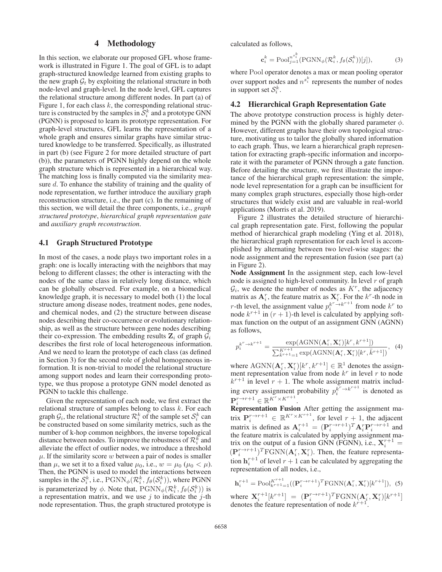## 4 Methodology

In this section, we elaborate our proposed GFL whose framework is illustrated in Figure 1. The goal of GFL is to adapt graph-structured knowledge learned from existing graphs to the new graph  $G_t$  by exploiting the relational structure in both node-level and graph-level. In the node level, GFL captures the relational structure among different nodes. In part (a) of Figure 1, for each class  $k$ , the corresponding relational structure is constructed by the samples in  $S_i^k$  and a prototype GNN<br>(PGNN) is proposed to learn its prototype representation. For (PGNN) is proposed to learn its prototype representation. For graph-level structures, GFL learns the representation of a whole graph and ensures similar graphs have similar structured knowledge to be transferred. Specifically, as illustrated in part (b) (see Figure 2 for more detailed structure of part (b)), the parameters of PGNN highly depend on the whole graph structure which is represented in a hierarchical way. The matching loss is finally computed via the similarity measure d. To enhance the stability of training and the quality of node representation, we further introduce the auxiliary graph reconstruction structure, i.e., the part (c). In the remaining of this section, we will detail the three components, i.e., *graph structured prototype*, *hierarchical graph representation gate* and *auxiliary graph reconstruction*.

#### 4.1 Graph Structured Prototype

In most of the cases, a node plays two important roles in a graph: one is locally interacting with the neighbors that may belong to different classes; the other is interacting with the nodes of the same class in relatively long distance, which can be globally observed. For example, on a biomedical knowledge graph, it is necessary to model both (1) the local structure among disease nodes, treatment nodes, gene nodes, and chemical nodes, and (2) the structure between disease nodes describing their co-occurrence or evolutionary relationship, as well as the structure between gene nodes describing their co-expression. The embedding results  $\mathbf{Z}_i$  of graph  $\mathcal{G}_i$ describes the first role of local heterogeneous information. And we need to learn the prototype of each class (as defined in Section 3) for the second role of global homogeneous information. It is non-trivial to model the relational structure among support nodes and learn their corresponding prototype, we thus propose a prototype GNN model denoted as PGNN to tackle this challenge.

Given the representation of each node, we first extract the relational structure of samples belong to class  $k$ . For each graph  $\mathcal{G}_i$ , the relational structure  $\mathcal{R}_i^k$  of the sample set  $\mathcal{S}_i^k$  can<br>be constructed based on some similarity metrics, such as the be constructed based on some similarity metrics, such as the number of k-hop common neighbors, the inverse topological distance between nodes. To improve the robustness of  $\mathcal{R}_i^k$  and alleviate the effect of outlier nodes, we introduce a threshold alleviate the effect of outlier nodes, we introduce a threshold  $\mu$ . If the similarity score w between a pair of nodes is smaller than  $\mu$ , we set it to a fixed value  $\mu_0$ , i.e.,  $w = \mu_0$  ( $\mu_0 < \mu$ ). Then, the PGNN is used to model the interactions between samples in the  $S_i^k$ , i.e.,  $PGNN_{\phi}(\mathcal{R}_i^k, f_{\theta}(S_i^k))$ , where PGNN<br>is parameterized by  $\phi$ . Note that  $PCNN_{\phi}(\mathcal{R}_i^k, f_{\phi}(S_i^k))$  is is parameterized by  $\phi$ . Note that,  $PGNN_{\phi}(\mathcal{R}_i^k, f_{\theta}(\mathcal{S}_i^k))$  is a representation matrix and we use *i* to indicate the *i*-th a representation matrix, and we use  $j$  to indicate the  $j$ -th node representation. Thus, the graph structured prototype is

calculated as follows,

$$
\mathbf{c}_i^k = \text{Pool}_{j=1}^{n^{s_i^k}} (\text{PGNN}_{\phi}(\mathcal{R}_i^k, f_{\theta}(\mathcal{S}_i^k))[j]),\tag{3}
$$

where Pool operator denotes a max or mean pooling operator over support nodes and  $n^{s_i^k}$  represents the number of nodes in support set  $S_i^k$ .

#### 4.2 Hierarchical Graph Representation Gate

The above prototype construction process is highly determined by the PGNN with the globally shared parameter  $\phi$ . However, different graphs have their own topological structure, motivating us to tailor the globally shared information to each graph. Thus, we learn a hierarchical graph representation for extracting graph-specific information and incorporate it with the parameter of PGNN through a gate function. Before detailing the structure, we first illustrate the importance of the hierarchical graph representation: the simple, node level representation for a graph can be insufficient for many complex graph structures, especially those high-order structures that widely exist and are valuable in real-world applications (Morris et al. 2019).

Figure 2 illustrates the detailed structure of hierarchical graph representation gate. First, following the popular method of hierarchical graph modeling (Ying et al. 2018), the hierarchical graph representation for each level is accomplished by alternating between two level-wise stages: the node assignment and the representation fusion (see part (a) in Figure 2).

Node Assignment In the assignment step, each low-level node is assigned to high-level community. In level  $r$  of graph  $G_i$ , we denote the number of nodes as  $K<sup>r</sup>$ , the adjacency matrix as  $A_i^r$ , the feature matrix as  $X_i^r$ . For the  $k^r$ -th node in <br>*r*-th level, the assignment value  $p_i^{k^r \to k^{r+1}}$  from node  $k^r$  to node  $k^{r+1}$  in  $(r+1)$ -th level is calculated by applying soft. node  $k^{r+1}$  in  $(r + 1)$ -th level is calculated by applying softmax function on the output of an assignment GNN (AGNN) as follows,

$$
p_i^{k^r \to k^{r+1}} = \frac{\exp(\text{AGNN}(\mathbf{A}_i^r, \mathbf{X}_i^r)[k^r, k^{r+1}])}{\sum_{\bar{k}^{r+1}=1}^{K^{r+1}} \exp(\text{AGNN}(\mathbf{A}_i^r, \mathbf{X}_i^r)[k^r, \bar{k}^{r+1}])}, \tag{4}
$$

where  $\text{AGNN}(\mathbf{A}_i^r, \mathbf{X}_i^r)[k^r, k^{r+1}] \in \mathbb{R}^1$  denotes the assign-<br>ment representation value from node k<sup>r</sup> in level r to node ment representation value from node  $k^r$  in level r to node  $k^{r+1}$  in level  $r + 1$ . The whole assignment matrix including every assignment probability  $p_i^{k^r \to k^{r+1}}$  is denoted as  $\mathbf{P}_i^{r \rightarrow r+1} \in \mathbb{R}^{K^r \times K^{r+1}}.$ Renresentation Fusion  $\mathbf{P}^{r\rightarrow r+1} \in \mathbb{R}^{K^r \times K^{r+1}}$ 

Representation Fusion After getting the assignment matrix  $\mathbf{P}_{i}^{r\rightarrow r+1} \in \mathbb{R}^{K^{r}\times K^{r+1}}$ , for level  $r+1$ , the adjacent<br>matrix is defined as  $\mathbf{\Lambda}^{r+1} = (\mathbf{P}^{r\rightarrow r+1})^T \mathbf{\Lambda}^{r} \mathbf{P}^{r\rightarrow r+1}$  and matrix is defined as  $\mathbf{A}_i^{r+1} = (\mathbf{P}_i^{r \to r+1})^T \mathbf{A}_i^r \mathbf{P}_i^{r \to r+1}$  and the feature matrix is calculated by applying assignment mathe feature matrix is calculated by applying assignment matrix on the output of a fusion GNN (FGNN), i.e.,  $X_i^{r+1} =$ <br> $(P^{r \to r+1})^T E CNN(A^r, \mathbf{X}^r)$ . Then, the feature represents  $(\mathbf{P}_i^{r\to r+1})^T$ FGNN $(\mathbf{A}_i^r, \mathbf{X}_i^r)$ . Then, the feature representa-<br>tion  $\mathbf{b}^{r+1}$  of layel  $r+1$  can be calculated by aggregating the tion  $\mathbf{h}_i^{r+1}$  of level  $r+1$  can be calculated by aggregating the representation of all nodes i.e. representation of all nodes, i.e.,

$$
\mathbf{h}_{i}^{r+1} = \text{Pool}_{k^{r+1} - 1}^{K^{r+1}}((\mathbf{P}_{i}^{r \to r+1})^T \text{FGNN}(\mathbf{A}_{i}^{r}, \mathbf{X}_{i}^{r})[k^{r+1}]), \tag{5}
$$

where  $\mathbf{X}_i^{r+1}[k^{r+1}] = (\mathbf{P}_i^{r \to r+1})^T \text{FGNN}(\mathbf{A}_i^r, \mathbf{X}_i^r)[k^{r+1}]$ <br>denotes the feature representation of node  $k^{r+1}$ . denotes the feature representation of node  $k^{r+1}$ .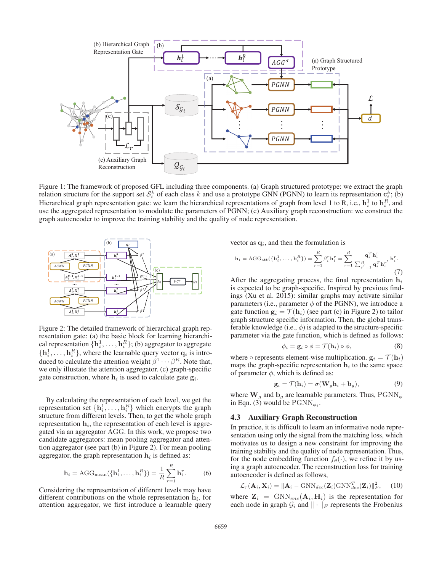

Figure 1: The framework of proposed GFL including three components. (a) Graph structured prototype: we extract the graph relation structure for the support set  $S_i^k$  of each class k and use a prototype GNN (PGNN) to learn its representation  $c_i^k$ ; (b)<br>Hierarchical graph representation gate: we learn the hierarchical representations of gra Hierarchical graph representation gate: we learn the hierarchical representations of graph from level 1 to R, i.e.,  $\mathbf{h}_i^1$  to  $\mathbf{h}_i^R$ , and use the aggregated representation to modulate the parameters of PGNN: (c) use the aggregated representation to modulate the parameters of PGNN; (c) Auxiliary graph reconstruction: we construct the graph autoencoder to improve the training stability and the quality of node representation.



Figure 2: The detailed framework of hierarchical graph representation gate: (a) the basic block for learning hierarchical representation  $\{\mathbf{h}_i^1, \ldots, \mathbf{h}_i^R\}$ ; (b) aggregator to aggregate  $\{\mathbf{h}_i^1, \ldots, \mathbf{h}_i^R\}$  where the learnable query vector  $\mathbf{g}_i$  is intro- ${\bf h}_i^1, \ldots, {\bf h}_i^R$ , where the learnable query vector  ${\bf q}_i$  is intro-<br>duced to calculate the attention weight  $\beta^1, \ldots, \beta^R$ . Note that duced to calculate the attention weight  $\beta^1 \cdots \beta^R$ . Note that, we only illustate the attention aggregator. (c) graph-specific gate construction, where  $h_i$  is used to calculate gate  $g_i$ .

By calculating the representation of each level, we get the representation set  $\{h_i^1, \ldots, h_i^R\}$  which encrypts the graph structure from different levels. Then to get the whole graph structure from different levels. Then, to get the whole graph representation  $h_i$ , the representation of each level is aggregated via an aggregator AGG. In this work, we propose two candidate aggregators: mean pooling aggregator and attention aggregator (see part (b) in Figure 2). For mean pooling aggregator, the graph representation  $h_i$  is defined as:

$$
\mathbf{h}_{i} = \text{AGG}_{\text{mean}}(\{\mathbf{h}_{i}^{1}, \ldots, \mathbf{h}_{i}^{R}\}) = \frac{1}{R} \sum_{r=1}^{R} \mathbf{h}_{i}^{r}.
$$
 (6)

Considering the representation of different levels may have different contributions on the whole representation  $\mathbf{h}_i$ , for attention aggregator, we first introduce a learnable query vector as  $\mathbf{q}_i$ , and then the formulation is

$$
\mathbf{h}_{i} = \text{AGG}_{\text{att}}(\{\mathbf{h}_{i}^{1}, \ldots, \mathbf{h}_{i}^{R}\}) = \sum_{r=1}^{R} \beta_{i}^{r} \mathbf{h}_{i}^{r} = \sum_{r=1}^{R} \frac{\mathbf{q}_{i}^{T} \mathbf{h}_{i}^{r}}{\sum_{r'=1}^{R} \mathbf{q}_{i}^{T} \mathbf{h}_{i}^{r'}} \mathbf{h}_{i}^{r}.
$$
\n(7)

After the aggregating process, the final representation  $h_i$ is expected to be graph-specific. Inspired by previous findings (Xu et al. 2015): similar graphs may activate similar parameters (i.e., parameter  $\phi$  of the PGNN), we introduce a gate function  $\mathbf{g}_i = \mathcal{T}(\mathbf{h}_i)$  (see part (c) in Figure 2) to tailor graph structure specific information. Then, the global transferable knowledge (i.e.,  $\phi$ ) is adapted to the structure-specific parameter via the gate function, which is defined as follows:

$$
\phi_i = \mathbf{g}_i \circ \phi = \mathcal{T}(\mathbf{h}_i) \circ \phi,\tag{8}
$$

where  $\circ$  represents element-wise multiplication.  $\mathbf{g}_i = \mathcal{T}(\mathbf{h}_i)$ maps the graph-specific representation  $h_i$  to the same space of parameter  $\phi$ , which is defined as:

$$
\mathbf{g}_i = \mathcal{T}(\mathbf{h}_i) = \sigma(\mathbf{W}_g \mathbf{h}_i + \mathbf{b}_g),\tag{9}
$$

where  $\mathbf{W}_g$  and  $\mathbf{b}_g$  are learnable parameters. Thus,  $PGNN_{\phi}$  in Eqn. (3) would be  $PGNN_{\phi}$ in Eqn. (3) would be  $PGNN_{\phi_i}$ .

### 4.3 Auxiliary Graph Reconstruction

In practice, it is difficult to learn an informative node representation using only the signal from the matching loss, which motivates us to design a new constraint for improving the training stability and the quality of node representation. Thus, for the node embedding function  $f_{\theta}(\cdot)$ , we refine it by using a graph autoencoder. The reconstruction loss for training autoencoder is defined as follows,

$$
\mathcal{L}_r(\mathbf{A}_i, \mathbf{X}_i) = ||\mathbf{A}_i - \text{GNN}_{dec}(\mathbf{Z}_i)\text{GNN}_{dec}^T(\mathbf{Z}_i)||_F^2, \quad (10)
$$

where  $\mathbf{Z}_i = \text{GNN}_{enc}(\mathbf{A}_i, \mathbf{H}_i)$  is the representation for each node in graph  $G_i$  and  $|| \cdot ||_F$  represents the Frobenius each node in graph  $\mathcal{G}_i$  and  $\|\cdot\|_F$  represents the Frobenius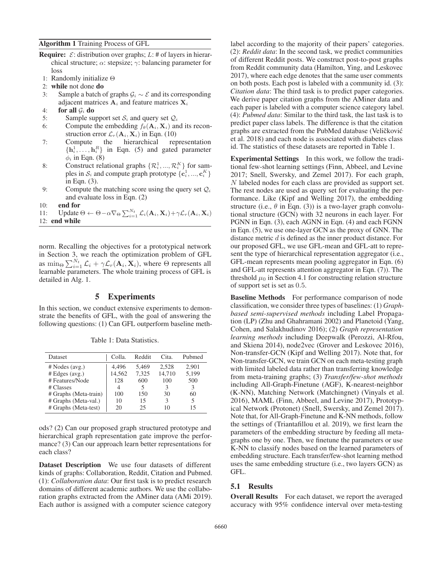Algorithm 1 Training Process of GFL

- **Require:**  $\mathcal{E}$ : distribution over graphs;  $L$ : # of layers in hierarchical structure;  $\alpha$ : stepsize;  $\gamma$ : balancing parameter for loss
- 1: Randomly initialize Θ
- 2: while not done do
- 3: Sample a batch of graphs  $G_i$  ∼  $\mathcal E$  and its corresponding adjacent matrices  $A_i$  and feature matrices  $X_i$
- 4: for all  $\mathcal{G}_i$  do
- 5: Sample support set  $S_i$  and query set  $Q_i$
- 6: Compute the embedding  $f_{\theta}(\mathbf{A}_i, \mathbf{X}_i)$  and its reconstruction error  $\mathcal{L}_r(\mathbf{A}_i, \mathbf{X}_i)$  in Eqn. (10)<br>Compute the hierarchical rep
- 7: Compute the hierarchical representation  $\{h_i^1, \ldots, h_i^R\}$  in Eqn. (5) and gated parameter  $\phi_i$  in Eqn. (8)  $\phi_i$  in Eqn. (8)
- 8: Construct relational graphs  $\{R_i^1, ..., R_i^K\}$  for samples in  $S_i$  and compute graph prototype  $\{\mathbf{c}_i^1, ..., \mathbf{c}_i^K\}$ in Eqn. (3).
- 9: Compute the matching score using the query set  $Q_i$ and evaluate loss in Eqn. (2)
- 10: end for
- 11: Update  $\Theta \leftarrow \Theta \alpha \nabla_{\Theta} \sum_{i=1}^{N_t} \mathcal{L}_i(\mathbf{A}_i, \mathbf{X}_i) + \gamma \mathcal{L}_r(\mathbf{A}_i, \mathbf{X}_i)$ <br>12: **end** while 12: end while

norm. Recalling the objectives for a prototypical network in Section 3, we reach the optimization problem of GFL as min<sub> $\Theta$ </sub>  $\sum_{i=1}^{N_t} \mathcal{L}_i + \gamma \mathcal{L}_r(\mathbf{A}_i, \mathbf{X}_i)$ , where  $\Theta$  represents all learnable parameters. The whole training process of GFL is detailed in Alg. 1.

## 5 Experiments

In this section, we conduct extensive experiments to demonstrate the benefits of GFL, with the goal of answering the following questions: (1) Can GFL outperform baseline meth-

| <b>Dataset</b>                               | Colla.          | Reddit         | Cita.           | Pubmed         |
|----------------------------------------------|-----------------|----------------|-----------------|----------------|
| # Nodes (avg.)<br># Edges (avg.)             | 4.496<br>14,562 | 5.469<br>7,325 | 2.528<br>14,710 | 2.901<br>5,199 |
| # Features/Node                              | 128             | 600            | 100             | 500            |
| # Classes<br># Graphs (Meta-train)           | 4<br>100        | 150            | 30              | 3<br>60        |
| # Graphs (Meta-val.)<br># Graphs (Meta-test) | 10<br>20        | 15<br>25       | 3<br>10         | 5<br>15        |

Table 1: Data Statistics.

ods? (2) Can our proposed graph structured prototype and hierarchical graph representation gate improve the performance? (3) Can our approach learn better representations for each class?

Dataset Description We use four datasets of different kinds of graphs: Collaboration, Reddit, Citation and Pubmed. (1): *Collaboration data*: Our first task is to predict research domains of different academic authors. We use the collaboration graphs extracted from the AMiner data (AMi 2019). Each author is assigned with a computer science category

label according to the majority of their papers' categories. (2): *Reddit data*: In the second task, we predict communities of different Reddit posts. We construct post-to-post graphs from Reddit community data (Hamilton, Ying, and Leskovec 2017), where each edge denotes that the same user comments on both posts. Each post is labeled with a community id. (3): *Citation data*: The third task is to predict paper categories. We derive paper citation graphs from the AMiner data and each paper is labeled with a computer science category label. (4): *Pubmed data*: Similar to the third task, the last task is to predict paper class labels. The difference is that the citation graphs are extracted from the PubMed database (Veličković et al. 2018) and each node is associated with diabetes class id. The statistics of these datasets are reported in Table 1.

Experimental Settings In this work, we follow the traditional few-shot learning settings (Finn, Abbeel, and Levine 2017; Snell, Swersky, and Zemel 2017). For each graph, N labeled nodes for each class are provided as support set. The rest nodes are used as query set for evaluating the performance. Like (Kipf and Welling 2017), the embedding structure (i.e.,  $\theta$  in Eqn. (3)) is a two-layer graph convolutional structure (GCN) with 32 neurons in each layer. For PGNN in Eqn. (3), each AGNN in Eqn. (4) and each FGNN in Eqn. (5), we use one-layer GCN as the proxy of GNN. The distance metric d is defined as the inner product distance. For our proposed GFL, we use GFL-mean and GFL-att to represent the type of hierarchical representation aggregator (i.e., GFL-mean represents mean pooling aggregator in Eqn. (6) and GFL-att represents attention aggregator in Eqn. (7)). The threshold  $\mu_0$  in Section 4.1 for constructing relation structure of support set is set as 0.5.

Baseline Methods For performance comparison of node classification, we consider three types of baselines: (1) *Graphbased semi-supervised methods* including Label Propagation (LP) (Zhu and Ghahramani 2002) and Planetoid (Yang, Cohen, and Salakhudinov 2016); (2) *Graph representation learning methods* including Deepwalk (Perozzi, Al-Rfou, and Skiena 2014), node2vec (Grover and Leskovec 2016), Non-transfer-GCN (Kipf and Welling 2017). Note that, for Non-transfer-GCN, we train GCN on each meta-testing graph with limited labeled data rather than transferring knowledge from meta-training graphs; (3) *Transfer/few-shot methods* including All-Graph-Finetune (AGF), K-nearest-neighbor (K-NN), Matching Network (Matchingnet) (Vinyals et al. 2016), MAML (Finn, Abbeel, and Levine 2017), Prototypical Network (Protonet) (Snell, Swersky, and Zemel 2017). Note that, for All-Graph-Finetune and K-NN methods, follow the settings of (Triantafillou et al. 2019), we first learn the parameters of the embedding structure by feeding all metagraphs one by one. Then, we finetune the parameters or use K-NN to classify nodes based on the learned parameters of embedding structure. Each transfer/few-shot learning method uses the same embedding structure (i.e., two layers GCN) as GFL.

### 5.1 Results

Overall Results For each dataset, we report the averaged accuracy with 95% confidence interval over meta-testing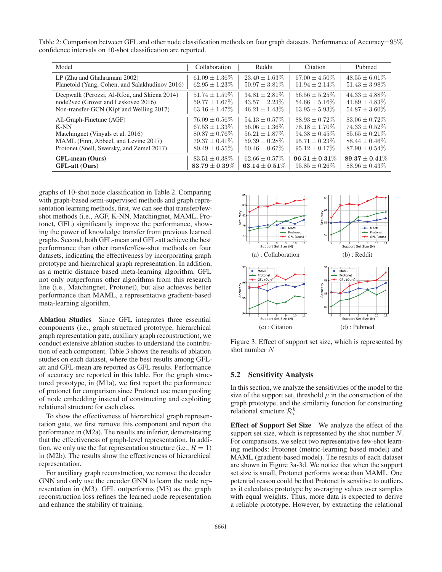Table 2: Comparison between GFL and other node classification methods on four graph datasets. Performance of Accuracy $\pm 95\%$ confidence intervals on 10-shot classification are reported.

| Model                                          | Collaboration                            | Reddit                                 | Citation                               | Pubmed                                 |
|------------------------------------------------|------------------------------------------|----------------------------------------|----------------------------------------|----------------------------------------|
| LP (Zhu and Ghahramani 2002)                   | $61.09 \pm 1.36\%$<br>$62.95 \pm 1.23\%$ | $23.40 + 1.63\%$<br>$50.97 \pm 3.81\%$ | $67.00 + 4.50\%$<br>$61.94 \pm 2.14\%$ | $48.55 + 6.01\%$<br>$51.43 \pm 3.98\%$ |
| Planetoid (Yang, Cohen, and Salakhudinov 2016) |                                          |                                        |                                        |                                        |
| Deepwalk (Perozzi, Al-Rfou, and Skiena 2014)   | $51.74 \pm 1.59\%$                       | $34.81 \pm 2.81\%$                     | $56.56 \pm 5.25\%$                     | $44.33 + 4.88\%$                       |
| node2vec (Grover and Leskovec 2016)            | $59.77 \pm 1.67\%$                       | $43.57 + 2.23\%$                       | $54.66 + 5.16\%$                       | $41.89 + 4.83\%$                       |
| Non-transfer-GCN (Kipf and Welling 2017)       | $63.16 \pm 1.47\%$                       | $46.21 \pm 1.43\%$                     | $63.95 \pm 5.93\%$                     | $54.87 \pm 3.60\%$                     |
| All-Graph-Finetune (AGF)                       | $76.09 \pm 0.56\%$                       | $54.13 \pm 0.57\%$                     | $88.93 + 0.72\%$                       | $83.06 + 0.72\%$                       |
| $K-NN$                                         | $67.53 + 1.33\%$                         | $56.06 + 1.36\%$                       | $78.18 + 1.70\%$                       | $74.33 \pm 0.52\%$                     |
| Matchingnet (Vinyals et al. 2016)              | $80.87 + 0.76\%$                         | $56.21 + 1.87\%$                       | $94.38 + 0.45\%$                       | $85.65 + 0.21\%$                       |
| MAML (Finn, Abbeel, and Levine 2017)           | $79.37 \pm 0.41\%$                       | $59.39 \pm 0.28\%$                     | $95.71 \pm 0.23\%$                     | $88.44 + 0.46\%$                       |
| Protonet (Snell, Swersky, and Zemel 2017)      | $80.49 \pm 0.55\%$                       | $60.46 \pm 0.67\%$                     | $95.12 \pm 0.17\%$                     | $87.90 \pm 0.54\%$                     |
| <b>GFL-mean</b> (Ours)                         | $83.51 \pm 0.38\%$                       | $62.66 \pm 0.57\%$                     | $96.51 + 0.31\%$                       | $89.37 + 0.41\%$                       |
| <b>GFL-att (Ours)</b>                          | $83.79 \pm 0.39\%$                       | $63.14 \pm 0.51\%$                     | $95.85 \pm 0.26\%$                     | $88.96 \pm 0.43\%$                     |

graphs of 10-shot node classification in Table 2. Comparing with graph-based semi-supervised methods and graph representation learning methods, first, we can see that transfer/fewshot methods (i.e., AGF, K-NN, Matchingnet, MAML, Protonet, GFL) significantly improve the performance, showing the power of knowledge transfer from previous learned graphs. Second, both GFL-mean and GFL-att achieve the best performance than other transfer/few-shot methods on four datasets, indicating the effectiveness by incorporating graph prototype and hierarchical graph representation. In addition, as a metric distance based meta-learning algorithm, GFL not only outperforms other algorithms from this research line (i.e., Matchingnet, Protonet), but also achieves better performance than MAML, a representative gradient-based meta-learning algorithm.

Ablation Studies Since GFL integrates three essential components (i.e., graph structured prototype, hierarchical graph representation gate, auxiliary graph reconstruction), we conduct extensive ablation studies to understand the contribution of each component. Table 3 shows the results of ablation studies on each dataset, where the best results among GFLatt and GFL-mean are reported as GFL results. Performance of accuracy are reported in this table. For the graph structured prototype, in (M1a), we first report the performance of protonet for comparison since Protonet use mean pooling of node embedding instead of constructing and exploiting relational structure for each class.

To show the effectiveness of hierarchical graph representation gate, we first remove this component and report the performance in (M2a). The results are inferior, demonstrating that the effectiveness of graph-level representation. In addition, we only use the flat representation structure (i.e.,  $R = 1$ ) in (M2b). The results show the effectiveness of hierarchical representation.

For auxiliary graph reconstruction, we remove the decoder GNN and only use the encoder GNN to learn the node representation in (M3). GFL outperforms (M3) as the graph reconstruction loss refines the learned node representation and enhance the stability of training.



Figure 3: Effect of support set size, which is represented by shot number N

#### 5.2 Sensitivity Analysis

In this section, we analyze the sensitivities of the model to the size of the support set, threshold  $\mu$  in the construction of the graph prototype, and the similarity function for constructing relational structure  $\mathcal{R}_i^k$ .

Effect of Support Set Size We analyze the effect of the support set size, which is represented by the shot number  $N$ . For comparisons, we select two representative few-shot learning methods: Protonet (metric-learning based model) and MAML (gradient-based model). The results of each dataset are shown in Figure 3a-3d. We notice that when the support set size is small, Protonet performs worse than MAML. One potential reason could be that Protonet is sensitive to outliers, as it calculates prototype by averaging values over samples with equal weights. Thus, more data is expected to derive a reliable prototype. However, by extracting the relational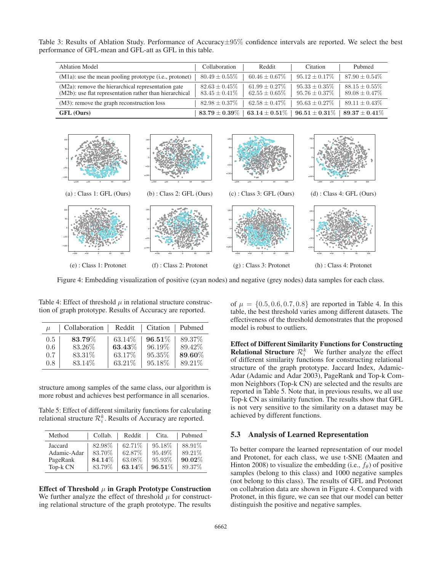Table 3: Results of Ablation Study. Performance of Accuracy $\pm 95\%$  confidence intervals are reported. We select the best performance of GFL-mean and GFL-att as GFL in this table.

| <b>Ablation Model</b>                                                                                         | Collaboration                            | Reddit                                   | Citation                                 | Pubmed                                   |
|---------------------------------------------------------------------------------------------------------------|------------------------------------------|------------------------------------------|------------------------------------------|------------------------------------------|
| $(M1a)$ : use the mean pooling prototype (i.e., protonet)                                                     | $80.49 \pm 0.55\%$                       | $60.46 \pm 0.67\%$                       | $95.12 \pm 0.17\%$                       | $87.90 \pm 0.54\%$                       |
| (M2a): remove the hierarchical representation gate<br>(M2b): use flat representation rather than hierarchical | $82.63 \pm 0.45\%$<br>$83.45 \pm 0.41\%$ | $61.99 \pm 0.27\%$<br>$62.55 \pm 0.65\%$ | $95.33 \pm 0.35\%$<br>$95.76 \pm 0.37\%$ | $88.15 \pm 0.55\%$<br>$89.08 \pm 0.47\%$ |
| (M3): remove the graph reconstruction loss                                                                    | $82.98 \pm 0.37\%$                       | $62.58 \pm 0.47\%$                       | $95.63 \pm 0.27\%$                       | $89.11 \pm 0.43\%$                       |
| GFL (Ours)                                                                                                    | $83.79 \pm 0.39\%$                       | 63.14 $\pm$ 0.51% $\parallel$            | $\textbf{96.51} \pm \textbf{0.31}\%$     | $89.37 \pm 0.41\%$                       |



Figure 4: Embedding visualization of positive (cyan nodes) and negative (grey nodes) data samples for each class.

| $\mu$   | Collaboration | Reddit    | Citation   Pubmed |         |
|---------|---------------|-----------|-------------------|---------|
| 0.5     | 83.79%        | 63.14\%   | $96.51\%$         | 89.37%  |
| 0.6     | 83.26\%       | $63.43\%$ | 96.19%            | 89.42\% |
| 0.7     | 83.31%        | 63.17\%   | 95.35%            | 89.60%  |
| $0.8\,$ | 83.14\%       | 63.21%    | 95.18%            | 89.21%  |

Table 4: Effect of threshold  $\mu$  in relational structure construction of graph prototype. Results of Accuracy are reported.

structure among samples of the same class, our algorithm is more robust and achieves best performance in all scenarios.

Table 5: Effect of different similarity functions for calculating relational structure  $\mathcal{R}_i^k$ . Results of Accuracy are reported.

| Method      | Collab. | Reddit  | Cita.     | Pubmed |
|-------------|---------|---------|-----------|--------|
| Jaccard     | 82.98%  | 62.71\% | 95.18%    | 88.91% |
| Adamic-Adar | 83.70%  | 62.87%  | 95.49%    | 89.21% |
| PageRank    | 84.14%  | 63.08%  | 95.93%    | 90.02% |
| Top-k CN    | 83.79%  | 63.14%  | $96.51\%$ | 89.37% |
|             |         |         |           |        |

Effect of Threshold  $\mu$  in Graph Prototype Construction We further analyze the effect of threshold  $\mu$  for constructing relational structure of the graph prototype. The results of  $\mu = \{0.5, 0.6, 0.7, 0.8\}$  are reported in Table 4. In this table, the best threshold varies among different datasets. The effectiveness of the threshold demonstrates that the proposed model is robust to outliers.

Effect of Different Similarity Functions for Constructing **Relational Structure**  $\mathcal{R}_i^k$  We further analyze the effect of different similarity functions for constructing relational of different similarity functions for constructing relational structure of the graph prototype. Jaccard Index, Adamic-Adar (Adamic and Adar 2003), PageRank and Top-k Common Neighbors (Top-k CN) are selected and the results are reported in Table 5. Note that, in previous results, we all use Top-k CN as similarity function. The results show that GFL is not very sensitive to the similarity on a dataset may be achieved by different functions.

#### 5.3 Analysis of Learned Representation

To better compare the learned representation of our model and Protonet, for each class, we use t-SNE (Maaten and Hinton 2008) to visualize the embedding (i.e.,  $f_{\theta}$ ) of positive samples (belong to this class) and 1000 negative samples (not belong to this class). The results of GFL and Protonet on collabration data are shown in Figure 4. Compared with Protonet, in this figure, we can see that our model can better distinguish the positive and negative samples.